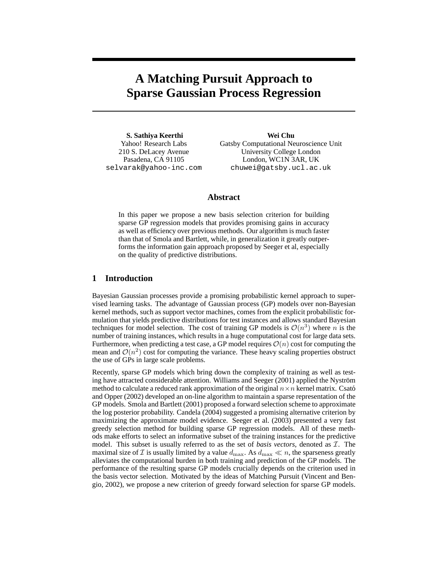# **A Matching Pursuit Approach to Sparse Gaussian Process Regression**

**S. Sathiya Keerthi** Yahoo! Research Labs 210 S. DeLacey Avenue Pasadena, CA 91105 selvarak@yahoo-inc.com

**Wei Chu** Gatsby Computational Neuroscience Unit University College London London, WC1N 3AR, UK chuwei@gatsby.ucl.ac.uk

## **Abstract**

In this paper we propose a new basis selection criterion for building sparse GP regression models that provides promising gains in accuracy as well as efficiency over previous methods. Our algorithm is much faster than that of Smola and Bartlett, while, in generalization it greatly outperforms the information gain approach proposed by Seeger et al, especially on the quality of predictive distributions.

## **1 Introduction**

Bayesian Gaussian processes provide a promising probabilistic kernel approach to supervised learning tasks. The advantage of Gaussian process (GP) models over non-Bayesian kernel methods, such as support vector machines, comes from the explicit probabilistic formulation that yields predictive distributions for test instances and allows standard Bayesian techniques for model selection. The cost of training GP models is  $\mathcal{O}(n^3)$  where n is the number of training instances, which results in a huge computational cost for large data sets. Furthermore, when predicting a test case, a GP model requires  $\mathcal{O}(n)$  cost for computing the mean and  $\mathcal{O}(n^2)$  cost for computing the variance. These heavy scaling properties obstruct the use of GPs in large scale problems.

Recently, sparse GP models which bring down the complexity of training as well as testing have attracted considerable attention. Williams and Seeger (2001) applied the Nyström method to calculate a reduced rank approximation of the original  $n \times n$  kernel matrix. Csató and Opper (2002) developed an on-line algorithm to maintain a sparse representation of the GP models. Smola and Bartlett (2001) proposed a forward selection scheme to approximate the log posterior probability. Candela (2004) suggested a promising alternative criterion by maximizing the approximate model evidence. Seeger et al. (2003) presented a very fast greedy selection method for building sparse GP regression models. All of these methods make efforts to select an informative subset of the training instances for the predictive model. This subset is usually referred to as the set of *basis vectors*, denoted as  $\mathcal{I}$ . The maximal size of *I* is usually limited by a value  $d_{\text{max}}$ . As  $d_{\text{max}} \ll n$ , the sparseness greatly alleviates the computational burden in both training and prediction of the GP models. The performance of the resulting sparse GP models crucially depends on the criterion used in the basis vector selection. Motivated by the ideas of Matching Pursuit (Vincent and Bengio, 2002), we propose a new criterion of greedy forward selection for sparse GP models.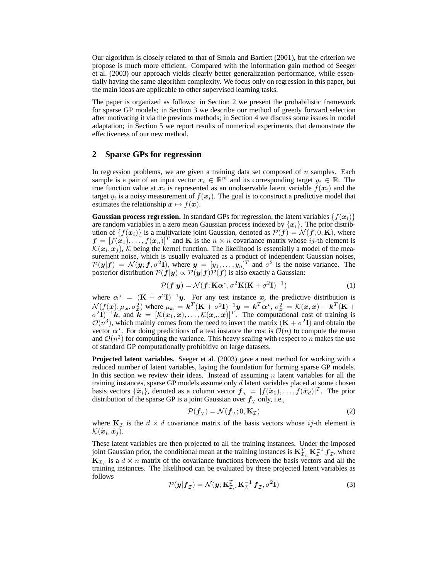Our algorithm is closely related to that of Smola and Bartlett (2001), but the criterion we propose is much more efficient. Compared with the information gain method of Seeger et al. (2003) our approach yields clearly better generalization performance, while essentially having the same algorithm complexity. We focus only on regression in this paper, but the main ideas are applicable to other supervised learning tasks.

The paper is organized as follows: in Section 2 we present the probabilistic framework for sparse GP models; in Section 3 we describe our method of greedy forward selection after motivating it via the previous methods; in Section 4 we discuss some issues in model adaptation; in Section 5 we report results of numerical experiments that demonstrate the effectiveness of our new method.

## **2 Sparse GPs for regression**

In regression problems, we are given a training data set composed of  $n$  samples. Each sample is a pair of an input vector  $x_i \in \mathbb{R}^m$  and its corresponding target  $y_i \in \mathbb{R}$ . The true function value at  $x_i$  is represented as an unobservable latent variable  $f(x_i)$  and the target  $y_i$  is a noisy measurement of  $f(x_i)$ . The goal is to construct a predictive model that estimates the relationship  $x \mapsto f(x)$ .

**Gaussian process regression.** In standard GPs for regression, the latent variables  $\{f(x_i)\}$ are random variables in a zero mean Gaussian process indexed by  $\{x_i\}$ . The prior distribution of  $\{f(\mathbf{x}_i)\}\$ is a multivariate joint Gaussian, denoted as  $\mathcal{P}(\mathbf{f}) = \mathcal{N}(\mathbf{f}; 0, \mathbf{K})$ , where  $f = [f(\hat{x}_1),..., f(\hat{x}_n)]^T$  and **K** is the  $n \times n$  covariance matrix whose *ij*-th element is  $\mathcal{K}(\hat{x}_i, \hat{x}_j)$ ,  $\mathcal{K}$  being the kernel function. The likelihood is essentially a model of the mea- $\mathcal{K}(\mathbf{x}_i, \mathbf{x}_j)$ ,  $\mathcal{K}$  being the kernel function. The likelihood is essentially a model of the measurement noise, which is usually evaluated as a product of independent Gaussian noises,  $P(y|f) = \mathcal{N}(y; f, \sigma^2 I)$ , where  $y = [y_1, \ldots, y_n]^T$  and  $\sigma^2$  is the noise variance. The notation distribution  $P(f|y) \propto P(y|f)P(f)$  is also exactly a Gaussian. posterior distribution  $P(f|y) \propto P(y|f)P(f)$  is also exactly a Gaussian:

$$
\mathcal{P}(f|\mathbf{y}) = \mathcal{N}(f; \mathbf{K}\alpha^*, \sigma^2 \mathbf{K}(\mathbf{K} + \sigma^2 \mathbf{I})^{-1})
$$
(1)

where  $\alpha^* = (\mathbf{K} + \sigma^2 \mathbf{I})^{-1} \mathbf{y}$ . For any test instance *x*, the predictive distribution is  $N(f(\mathbf{a})) \cdot \mathbf{a}^{(2)}$ , where  $\mathbf{a}^{(1)} = \mathbf{b}^{T} (\mathbf{K} + \sigma^2 \mathbf{I})^{-1} \mathbf{a} = \mathbf{b}^{T} \sigma^* \sigma^2 = K(\mathbf{a} \cdot \mathbf{a}) - \mathbf{b}^{T} (\$  $\mathcal{N}(f(\mathbf{x}); \mu_{\mathbf{x}}, \sigma_{\mathbf{x}}^2)$  where  $\mu_{\mathbf{x}} = \mathbf{k}^T (\mathbf{K} + \sigma^2 \mathbf{I})^{-1} \mathbf{y} = \mathbf{k}^T \alpha^*$ ,  $\sigma_{\mathbf{x}}^2 = \mathcal{K}(\mathbf{x}, \mathbf{x}) - \mathbf{k}^T (\mathbf{K} + \sigma^2 \mathbf{I})^{-1} \mathbf{k}$  and  $\mathbf{k} = [\mathcal{K}(\mathbf{x}, \mathbf{x})] - \mathcal{K}(\mathbf{x}, \mathbf{x})]^{T}$ . The comp  $\sigma^2 \mathbf{I}$ )<sup>-1</sup>*k*, and  $\mathbf{K} = [K(\mathbf{x}_1, \mathbf{x}), \dots, K(\mathbf{x}_n, \mathbf{x})]^T$ . The computational cost of training is  $\mathcal{O}(n^3)$  which mainly comes from the need to invert the matrix  $(\mathbf{K} + \sigma^2 \mathbf{I})$  and obtain the  $\mathcal{O}(n^3)$ , which mainly comes from the need to invert the matrix  $(\mathbf{K} + \sigma^2 \mathbf{I})$  and obtain the vector  $\alpha^*$ . For doing predictions of a test instance the cost is  $\mathcal{O}(n)$  to compute the mean and  $\mathcal{O}(n^2)$  for computing the variance. This heavy scaling with respect to n makes the use of standard GP computationally prohibitive on large datasets.

**Projected latent variables.** Seeger et al. (2003) gave a neat method for working with a reduced number of latent variables, laying the foundation for forming sparse GP models. In this section we review their ideas. Instead of assuming  $n$  latent variables for all the training instances, sparse GP models assume only d latent variables placed at some chosen basis vectors  $\{\tilde{x}_i\}$ , denoted as a column vector  $f_{\mathcal{I}} = [f(\tilde{x}_1), \ldots, f(\tilde{x}_d)]^T$ . The prior distribution of the sparse GP is a joint Gaussian over  $f<sub>T</sub>$  only, i.e.,

$$
\mathcal{P}(\boldsymbol{f}_{\mathcal{I}}) = \mathcal{N}(\boldsymbol{f}_{\mathcal{I}}; 0, \mathbf{K}_{\mathcal{I}})
$$
\n(2)

where  $\mathbf{K}_I$  is the  $d \times d$  covariance matrix of the basis vectors whose ij-th element is  $\mathcal{K}(\tilde{\bm{x}}_i, \tilde{\bm{x}}_j).$ 

These latent variables are then projected to all the training instances. Under the imposed joint Gaussian prior, the conditional mean at the training instances is  $\mathbf{K}_{\mathcal{I}}^T$ ,  $\mathbf{K}_{\mathcal{I}}^{-1}$ ,  $\mathbf{f}_{\mathcal{I}}$ , where  $\mathbf{K}_{\mathcal{I}}$ , is a  $d \times n$  matrix of the covariance functions between the basis vectors and all the training instances. The likelihood can be evaluated by these projected latent variables as follows

$$
\mathcal{P}(\mathbf{y}|\mathbf{f}_T) = \mathcal{N}(\mathbf{y}; \mathbf{K}_{\mathcal{I},\cdot}^T \mathbf{K}_{\mathcal{I}}^{-1} \mathbf{f}_{\mathcal{I}}, \sigma^2 \mathbf{I})
$$
\n(3)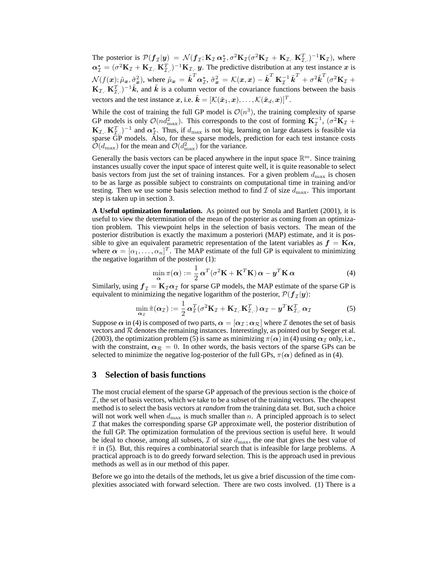The posterior is  $\mathcal{P}(f_{\mathcal{I}}|\mathbf{y}) = \mathcal{N}(f_{\mathcal{I}}; \mathbf{K}_{\mathcal{I}} \alpha^*_{\mathcal{I}}, \sigma^2 \mathbf{K}_{\mathcal{I}} (\sigma^2 \mathbf{K}_{\mathcal{I}} + \mathbf{K}_{\mathcal{I}}, \mathbf{K}_{\mathcal{I}}^T)^{-1} \mathbf{K}_{\mathcal{I}})$ , where  $\alpha_{\mathcal{I}}^* = (\sigma^2 \mathbf{K}_{\mathcal{I}} + \mathbf{K}_{\mathcal{I},\cdot}, \mathbf{K}_{\mathcal{I},\cdot}^T)^{-1} \mathbf{K}_{\mathcal{I},\cdot} \mathbf{y}$ . The predictive distribution at any test instance *x* is  $\mathcal{N}(f(\boldsymbol{x}); \tilde{\mu}_{\boldsymbol{x}}, \tilde{\sigma}_{\boldsymbol{x}}^2)$ , where  $\tilde{\mu}_{\boldsymbol{x}} = \tilde{k}^T \alpha_{\mathcal{I}}^*, \tilde{\sigma}_{\boldsymbol{x}}^2 = \mathcal{K}(\boldsymbol{x}, \boldsymbol{x}) - \tilde{k}^T \mathbf{K}_{\mathcal{I}}^{-1} \tilde{k}^T + \sigma^2 \tilde{k}^T (\sigma^2 \mathbf{K}_{\mathcal{I}} + \mathbf{K}_{\mathcal{I}}^{-1} \tilde{k}^T \mathbf{K}_{\mathcal{I}}^{-1})$  $\mathbf{K}_{\mathcal{I},\cdot}$  **K**<sub>I</sub>,  $\mathbf{K}_{\mathcal{I},\cdot}^{T}$  =  $\mathbf{K}_{\mathcal{I},\cdot}^{T}$  is a column vector of the covariance functions between the basis vectors and the test instance *x*, i.e.  $\tilde{k} = [\mathcal{K}(\tilde{x}_1, x), \dots, \mathcal{K}(\tilde{x}_d, x)]^T$ .

While the cost of training the full GP model is  $\mathcal{O}(n^3)$ , the training complexity of sparse GP models is only  $\mathcal{O}(nd_{\text{max}}^2)$ . This corresponds to the cost of forming  $\mathbf{K}_T^{-1}$ ,  $(\sigma^2 \mathbf{K}_T + \mathbf{K}_T^{-T})^{-1}$  and  $\mathbf{\alpha}^*$ . Thus if dense to the learning on large datasets is feasible via  $\mathbf{K}_{\mathcal{I},\cdot}(\mathbf{K}_{\mathcal{I},\cdot}^T)^{-1}$  and  $\alpha_{\mathcal{I}}^*$ . Thus, if  $d_{\max}$  is not big, learning on large datasets is feasible via sparse GP models. Also, for these sparse models, prediction for each test instance costs  $\mathcal{O}(d_{\text{max}})$  for the mean and  $\mathcal{O}(d_{\text{max}}^2)$  for the variance.

Generally the basis vectors can be placed anywhere in the input space  $\mathbb{R}^m$ . Since training instances usually cover the input space of interest quite well, it is quite reasonable to select basis vectors from just the set of training instances. For a given problem  $d_{\text{max}}$  is chosen to be as large as possible subject to constraints on computational time in training and/or testing. Then we use some basis selection method to find  $\mathcal I$  of size  $d_{\text{max}}$ . This important step is taken up in section 3.

**A Useful optimization formulation.** As pointed out by Smola and Bartlett (2001), it is useful to view the determination of the mean of the posterior as coming from an optimization problem. This viewpoint helps in the selection of basis vectors. The mean of the posterior distribution is exactly the maximum a posteriori (MAP) estimate, and it is possible to give an equivalent parametric representation of the latent variables as  $f = \hat{k}\alpha$ , where  $\alpha = [\alpha_1, \dots, \alpha_n]^T$ . The MAP estimate of the full GP is equivalent to minimizing the negative logarithm of the nosterior (1). the negative logarithm of the posterior (1):

$$
\min_{\mathbf{\alpha}} \pi(\mathbf{\alpha}) := \frac{1}{2} \mathbf{\alpha}^T (\sigma^2 \mathbf{K} + \mathbf{K}^T \mathbf{K}) \mathbf{\alpha} - \mathbf{y}^T \mathbf{K} \mathbf{\alpha}
$$
 (4)

Similarly, using  $f_{\mathcal{I}} = \mathbf{K}_{\mathcal{I}} \alpha_{\mathcal{I}}$  for sparse GP models, the MAP estimate of the sparse GP is equivalent to minimizing the negative logarithm of the posterior  $\mathcal{P}(f_{\mathcal{I}}|\mathbf{u})$ . equivalent to minimizing the negative logarithm of the posterior,  $P(f_\tau|\mathbf{y})$ :

$$
\min_{\mathbf{\alpha}_{\mathcal{I}}} \tilde{\pi}(\mathbf{\alpha}_{\mathcal{I}}) := \frac{1}{2} \mathbf{\alpha}_{\mathcal{I}}^T (\sigma^2 \mathbf{K}_{\mathcal{I}} + \mathbf{K}_{\mathcal{I},\cdot} \mathbf{K}_{\mathcal{I},\cdot}^T) \mathbf{\alpha}_{\mathcal{I}} - \mathbf{y}^T \mathbf{K}_{\mathcal{I},\cdot}^T \mathbf{\alpha}_{\mathcal{I}} \tag{5}
$$

Suppose  $\alpha$  in (4) is composed of two parts,  $\alpha = [\alpha_{\mathcal{I}}; \alpha_{\mathcal{R}}]$  where *T* denotes the set of basis vectors and *R* denotes the remaining instances. Interestingly as pointed out by Seeger et al. vectors and  $R$  denotes the remaining instances. Interestingly, as pointed out by Seeger et al. (2003), the optimization problem (5) is same as minimizing  $\pi(\alpha)$  in (4) using  $\alpha_{\mathcal{I}}$  only, i.e., with the constraint,  $\alpha_{\mathcal{R}} = 0$ . In other words, the basis vectors of the sparse GPs can be selected to minimize the negative log-posterior of the full GPs,  $\pi(\alpha)$  defined as in (4).

# **3 Selection of basis functions**

The most crucial element of the sparse GP approach of the previous section is the choice of  $I$ , the set of basis vectors, which we take to be a subset of the training vectors. The cheapest method is to select the basis vectors at *random* from the training data set. But, such a choice will not work well when  $d_{\text{max}}$  is much smaller than n. A principled approach is to select  $I$  that makes the corresponding sparse GP approximate well, the posterior distribution of the full GP. The optimization formulation of the previous section is useful here. It would be ideal to choose, among all subsets,  $\mathcal I$  of size  $d_{\max}$ , the one that gives the best value of  $\tilde{\pi}$  in (5). But, this requires a combinatorial search that is infeasible for large problems. A practical approach is to do greedy forward selection. This is the approach used in previous methods as well as in our method of this paper.

Before we go into the details of the methods, let us give a brief discussion of the time complexities associated with forward selection. There are two costs involved. (1) There is a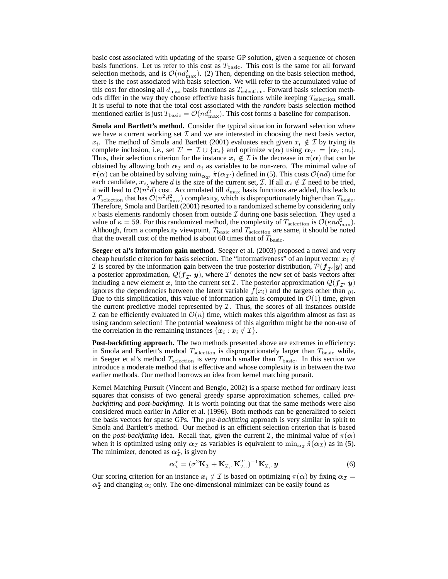basic cost associated with updating of the sparse GP solution, given a sequence of chosen basis functions. Let us refer to this cost as  $T_{\text{basic}}$ . This cost is the same for all forward selection methods, and is  $\mathcal{O}(nd_{\text{max}}^2)$ . (2) Then, depending on the basis selection method, there is the cost associated with basis selection. We will refer to the accumulated value of there is the cost associated with basis selection. We will refer to the accumulated value of this cost for choosing all  $d_{\text{max}}$  basis functions as  $T_{\text{selection}}$ . Forward basis selection methods differ in the way they choose effective basis functions while keeping  $T_{\text{selection}}$  small. It is useful to note that the total cost associated with the *random* basis selection method mentioned earlier is just  $T_{\text{basic}} = \mathcal{O}(nd_{\text{max}}^2)$ . This cost forms a baseline for comparison.

**Smola and Bartlett's method.** Consider the typical situation in forward selection where we have a current working set  $\mathcal I$  and we are interested in choosing the next basis vector, x<sub>i</sub>. The method of Smola and Bartlett (2001) evaluates each given  $x_i \notin \mathcal{I}$  by trying its complete inclusion, i.e., set  $\mathcal{I}' = \mathcal{I} \cup \{x_i\}$  and optimize  $\pi(\alpha)$  using  $\alpha_{\mathcal{I}'} = [\alpha_{\mathcal{I}}; \alpha_i]$ . Thus, their selection criterion for the instance  $x_i \notin \mathcal{I}$  is the decrease in  $\pi(\alpha)$  that can be obtained by allowing both  $\alpha_{\mathcal{I}}$  and  $\alpha_i$  as variables to be non-zero. The minimal value of  $\pi(\alpha)$  can be obtained by solving  $\min_{\alpha} \pi(\alpha)} \tilde{\pi}(\alpha)}$  defined in (5). This costs  $\mathcal{O}(nd)$  time for each candidate,  $x_i$ , where d is the size of the current set,  $\mathcal{I}$ . If all  $x_i \notin \mathcal{I}$  need to be tried, it will lead to  $\mathcal{O}(n^2d)$  cost. Accumulated till  $d_{\text{max}}$  basis functions are added, this leads to a  $T_{\text{selection}}$  that has  $\mathcal{O}(n^2 d_{\text{max}}^2)$  complexity, which is disproportionately higher than  $T_{\text{basic}}$ .<br>Therefore, Smola and Bartlett (2001) resorted to a randomized scheme by considering only Therefore, Smola and Bartlett (2001) resorted to a randomized scheme by considering only  $\kappa$  basis elements randomly chosen from outside  $\mathcal I$  during one basis selection. They used a value of  $\kappa = 59$ . For this randomized method, the complexity of  $T_{\text{selection}}$  is  $\mathcal{O}(\kappa nd_{\text{max}}^2)$ .<br>Although from a complexity viewpoint  $T_{\text{basic}}$  and  $T_{\text{relation}}$  are same it should be noted Although, from a complexity viewpoint,  $T_{\text{basic}}$  and  $T_{\text{selection}}$  are same, it should be noted that the overall cost of the method is about 60 times that of  $T_{\text{basic}}$ .

**Seeger et al's information gain method.** Seeger et al. (2003) proposed a novel and very cheap heuristic criterion for basis selection. The "informativeness" of an input vector  $x_i \notin$ *I* is scored by the information gain between the true posterior distribution,  $P(f_{\mathcal{I}'}|\mathbf{y})$  and a posterior approximation,  $\mathcal{Q}(\mathbf{f}_{\mathcal{I}'}|\mathbf{y})$ , where  $\mathcal{I}'$  denotes the new set of basis vectors after including a new element  $x_i$  into the current set *I*. The posterior approximation  $Q(\mathbf{f}_{\mathcal{I}}|\mathbf{y})$ ignores the dependencies between the latent variable  $f(x_i)$  and the targets other than  $y_i$ . Due to this simplification, this value of information gain is computed in  $\mathcal{O}(1)$  time, given the current predictive model represented by  $I$ . Thus, the scores of all instances outside  $\mathcal I$  can be efficiently evaluated in  $\mathcal O(n)$  time, which makes this algorithm almost as fast as using random selection! The potential weakness of this algorithm might be the non-use of the correlation in the remaining instances  $\{x_i : x_i \notin \mathcal{I}\}\.$ 

**Post-backfitting approach.** The two methods presented above are extremes in efficiency: in Smola and Bartlett's method  $T_{\rm selection}$  is disproportionately larger than  $T_{\rm basic}$  while, in Seeger et al's method  $T_{\text{selection}}$  is very much smaller than  $T_{\text{basic}}$ . In this section we introduce a moderate method that is effective and whose complexity is in between the two earlier methods. Our method borrows an idea from kernel matching pursuit.

Kernel Matching Pursuit (Vincent and Bengio, 2002) is a sparse method for ordinary least squares that consists of two general greedy sparse approximation schemes, called *prebackfitting* and *post-backfitting*. It is worth pointing out that the same methods were also considered much earlier in Adler et al. (1996). Both methods can be generalized to select the basis vectors for sparse GPs. The *pre-backfitting* approach is very similar in spirit to Smola and Bartlett's method. Our method is an efficient selection criterion that is based on the *post-backfitting* idea. Recall that, given the current I, the minimal value of  $\pi(\alpha)$ when it is optimized using only  $\alpha_{\mathcal{I}}$  as variables is equivalent to  $\min_{\alpha_{\mathcal{I}}} \tilde{\pi}(\alpha_{\mathcal{I}})$  as in (5). The minimizer, denoted as  $\alpha_{\mathcal{I}}^*$ , is given by

$$
\boldsymbol{\alpha}_{\mathcal{I}}^* = (\sigma^2 \mathbf{K}_{\mathcal{I}} + \mathbf{K}_{\mathcal{I},\cdot} \mathbf{K}_{\mathcal{I},\cdot}^T)^{-1} \mathbf{K}_{\mathcal{I},\cdot} \boldsymbol{y}
$$
(6)

Our scoring criterion for an instance  $x_i \notin I$  is based on optimizing  $\pi(\alpha)$  by fixing  $\alpha_I =$  $\alpha_{\mathcal{I}}^*$  and changing  $\alpha_i$  only. The one-dimensional minimizer can be easily found as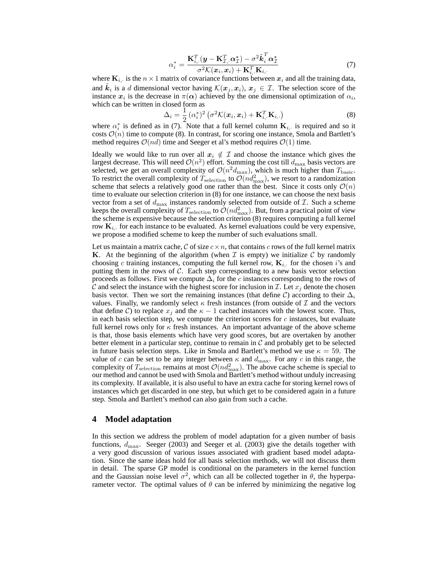$$
\alpha_i^* = \frac{\mathbf{K}_{i,\cdot}^T(\mathbf{y} - \mathbf{K}_{\mathcal{I},\cdot}^T \alpha_{\mathcal{I}}^*) - \sigma^2 \tilde{\mathbf{k}}_i^T \alpha_{\mathcal{I}}^*}{\sigma^2 \mathcal{K}(\mathbf{x}_i, \mathbf{x}_i) + \mathbf{K}_{i,\cdot}^T \mathbf{K}_{i,\cdot}} \tag{7}
$$
\n
$$
\text{array of covariance functions between } \mathbf{x}_i \text{ and all the training data.}
$$

where  $\mathbf{K}_{i}$ , is the  $n \times 1$  matrix of covariance functions between  $x_i$  and all the training data, and  $k_i$  is a d dimensional vector having  $\mathcal{K}(x_j, x_i), x_j \in \mathcal{I}$ . The selection score of the instance  $x_i$  is the decrease in  $\pi(\alpha)$  achieved by the one dimensional optimization of  $\alpha_i$ , which can be written in closed form as

$$
\Delta_i = \frac{1}{2} (\alpha_i^*)^2 \left( \sigma^2 \mathcal{K}(\boldsymbol{x}_i, \boldsymbol{x}_i) + \mathbf{K}_{i, \cdot}^T \mathbf{K}_{i, \cdot} \right)
$$
(8)

 $\Delta_i = \frac{1}{2} (\alpha_i^*)^2 (\sigma^2 \mathcal{K}(\boldsymbol{x}_i, \boldsymbol{x}_i) + \mathbf{K}_{i_i}^T \mathbf{K}_{i_i})$  (8)<br>where  $\alpha_i^*$  is defined as in (7). Note that a full kernel column **K**<sub>i,</sub> is required and so it costs  $\mathcal{O}(n)$  time to compute (8). In contrast, for scoring one instance, Smola and Bartlett's method requires  $O(nd)$  time and Seeger et al's method requires  $O(1)$  time.

Ideally we would like to run over all  $x_i \notin \mathcal{I}$  and choose the instance which gives the largest decrease. This will need  $\mathcal{O}(n^2)$  effort. Summing the cost till  $d_{\text{max}}$  basis vectors are selected, we get an overall complexity of  $O(n^2d_{\text{max}})$ , which is much higher than  $T_{\text{basic}}$ . To restrict the overall complexity of  $\tilde{T}_{\text{selection}}$  to  $\mathcal{O}(nd_{\text{max}}^2)$ , we resort to a randomization scheme that selects a relatively good one rather than the best. Since it costs only  $\mathcal{O}(n)$ scheme that selects a relatively good one rather than the best. Since it costs only  $\mathcal{O}(n)$ time to evaluate our selection criterion in (8) for one instance, we can choose the next basis vector from a set of  $d_{\text{max}}$  instances randomly selected from outside of  $\mathcal{I}$ . Such a scheme keeps the overall complexity of  $T_{\text{selection}}$  to  $\mathcal{O}(nd_{\text{max}}^2)$ . But, from a practical point of view the scheme is expensive because the selection criterion (8) requires computing a full kernel the scheme is expensive because the selection criterion (8) requires computing a full kernel row  $\mathbf{K}_{i}$ , for each instance to be evaluated. As kernel evaluations could be very expensive, we propose a modified scheme to keep the number of such evaluations small.

Let us maintain a matrix cache, C of size  $c \times n$ , that contains c rows of the full kernel matrix **K**. At the beginning of the algorithm (when  $\mathcal I$  is empty) we initialize  $\mathcal C$  by randomly choosing c training instances, computing the full kernel row,  $\mathbf{K}_{i}$ , for the chosen i's and putting them in the rows of  $C$ . Each step corresponding to a new basis vector selection proceeds as follows. First we compute  $\Delta_i$  for the c instances corresponding to the rows of C and select the instance with the highest score for inclusion in T. Let  $x_i$  denote the chosen basis vector. Then we sort the remaining instances (that define C) according to their  $\Delta_i$ values. Finally, we randomly select  $\kappa$  fresh instances (from outside of  $\mathcal I$  and the vectors that define C) to replace  $x_j$  and the  $\kappa - 1$  cached instances with the lowest score. Thus, in each basis selection step, we compute the criterion scores for  $c$  instances, but evaluate full kernel rows only for  $\kappa$  fresh instances. An important advantage of the above scheme is that, those basis elements which have very good scores, but are overtaken by another better element in a particular step, continue to remain in  $\mathcal C$  and probably get to be selected in future basis selection steps. Like in Smola and Bartlett's method we use  $\kappa = 59$ . The value of c can be set to be any integer between  $\kappa$  and  $d_{\text{max}}$ . For any c in this range, the complexity of  $T_{\text{selection}}$  remains at most  $\mathcal{O}(nd_{\text{max}}^2)$ . The above cache scheme is special to our method and cannot be used with Smola and Bartlett's method without unduly increasing our method and cannot be used with Smola and Bartlett's method without unduly increasing its complexity. If available, it is also useful to have an extra cache for storing kernel rows of instances which get discarded in one step, but which get to be considered again in a future step. Smola and Bartlett's method can also gain from such a cache.

#### **4 Model adaptation**

In this section we address the problem of model adaptation for a given number of basis functions,  $d_{\text{max}}$ . Seeger (2003) and Seeger et al. (2003) give the details together with a very good discussion of various issues associated with gradient based model adaptation. Since the same ideas hold for all basis selection methods, we will not discuss them in detail. The sparse GP model is conditional on the parameters in the kernel function and the Gaussian noise level  $\sigma^2$ , which can all be collected together in  $\theta$ , the hyperparameter vector. The optimal values of  $\theta$  can be inferred by minimizing the negative log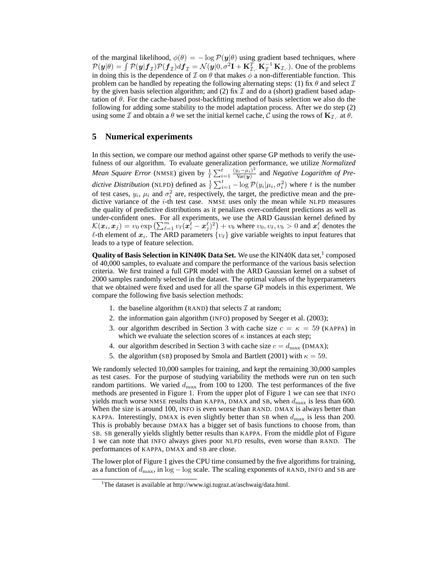of the marginal likelihood,  $\phi(\theta) = -\log \mathcal{P}(\mathbf{y}|\theta)$  using gradient based techniques, where  $\mathcal{P}(\mathbf{y}|\theta) = \int \mathcal{P}(\mathbf{y}|\mathbf{f}_\mathcal{I})\mathcal{P}(\mathbf{f}_\mathcal{I})d\mathbf{f}_\mathcal{I} = \mathcal{N}(\mathbf{y}|0,\sigma^2\mathbf{I} + \mathbf{K}_{\mathcal{I},\cdot}^T\mathbf{K}_{\mathcal{I}}^{-1}\mathbf{K}_{\mathcal{I},\cdot}).$  One of the problems in doing this is the dependence of  $\mathcal{I}$  on  $\theta$  th in doing this is the dependence of  $\mathcal I$  on  $\theta$  that makes  $\phi$  a non-differentiable function. This problem can be handled by repeating the following alternating steps: (1) fix  $\theta$  and select  $\mathcal I$ by the given basis selection algorithm; and (2) fix  $\mathcal I$  and do a (short) gradient based adaptation of  $\theta$ . For the cache-based post-backfitting method of basis selection we also do the following for adding some stability to the model adaptation process. After we do step (2) using some *I* and obtain a  $\theta$  we set the initial kernel cache, *C* using the rows of  $\mathbf{K}_{\mathcal{I},\cdot}$  at  $\theta$ .

# **5 Numerical experiments**

In this section, we compare our method against other sparse GP methods to verify the usefulness of our algorithm. To evaluate generalization performance, we utilize *Normalized Mean Square Error* (NMSE) given by  $\frac{1}{t} \sum_{i=1}^{t} \frac{(y_i - \mu_i)^2}{\text{Var}(y)}$  and *Negative Logarithm of Predictive Distribution* (NLPD) defined as  $\frac{1}{t} \sum_{i=1}^{t} -\log \mathcal{P}(y_i|\mu_i, \sigma_i^2)$  where t is the number of test cases  $\mu_i$ ,  $\mu_i$  and  $\sigma_i^2$  are respectively the target the predictive mean and the pre of test cases,  $y_i$ ,  $\mu_i$  and  $\sigma_i^2$  are, respectively, the target, the predictive mean and the predictive variance of the i-th test case. NMSE uses only the mean while NLPD measures the quality of predictive distributions as it penalizes over-confident predictions as well as under-confident ones. For all experiments, we use the ARD Gaussian kernel defined by  $\mathcal{K}(x_i, x_j) = v_0 \exp\left(\sum_{\ell=1}^m v_\ell (x_i^\ell - x_j^\ell)^2\right) + v_b$  where  $v_0, v_\ell, v_b > 0$  and  $x_i^\ell$  denotes the  $\ell$ -th element of  $x_i$ . The ARD parameters  $\{v_\ell\}$  give variable weights to input features that leads to a type of feature selection.

**Quality of Basis Selection in KIN40K Data Set.** We use the KIN40K data set,<sup>1</sup> composed of 40,000 samples, to evaluate and compare the performance of the various basis selection criteria. We first trained a full GPR model with the ARD Gaussian kernel on a subset of 2000 samples randomly selected in the dataset. The optimal values of the hyperparameters that we obtained were fixed and used for all the sparse GP models in this experiment. We compare the following five basis selection methods:

- 1. the baseline algorithm (RAND) that selects  $\mathcal I$  at random;
- 2. the information gain algorithm (INFO) proposed by Seeger et al. (2003);
- 3. our algorithm described in Section 3 with cache size  $c = \kappa = 59$  (KAPPA) in which we evaluate the selection scores of  $\kappa$  instances at each step;
- 4. our algorithm described in Section 3 with cache size  $c = d_{\text{max}}$  (DMAX);
- 5. the algorithm (SB) proposed by Smola and Bartlett (2001) with  $\kappa = 59$ .

We randomly selected 10,000 samples for training, and kept the remaining 30,000 samples as test cases. For the purpose of studying variability the methods were run on ten such random partitions. We varied  $d_{\text{max}}$  from 100 to 1200. The test performances of the five methods are presented in Figure 1. From the upper plot of Figure 1 we can see that INFO yields much worse NMSE results than KAPPA, DMAX and SB, when  $d_{\text{max}}$  is less than 600. When the size is around 100, INFO is even worse than RAND. DMAX is always better than KAPPA. Interestingly, DMAX is even slightly better than SB when  $d_{\text{max}}$  is less than 200. This is probably because DMAX has a bigger set of basis functions to choose from, than SB. SB generally yields slightly better results than KAPPA. From the middle plot of Figure 1 we can note that INFO always gives poor NLPD results, even worse than RAND. The performances of KAPPA, DMAX and SB are close.

The lower plot of Figure 1 gives the CPU time consumed by the five algorithms for training, as a function of  $d_{\text{max}}$ , in log – log scale. The scaling exponents of RAND, INFO and SB are

<sup>&</sup>lt;sup>1</sup>The dataset is available at http://www.igi.tugraz.at/aschwaig/data.html.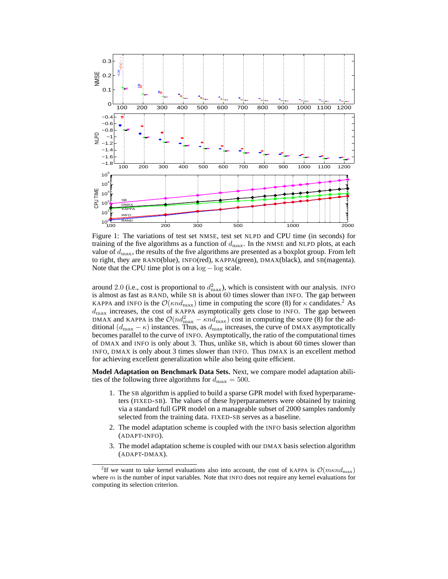

Figure 1: The variations of test set NMSE, test set NLPD and CPU time (in seconds) for training of the five algorithms as a function of  $d_{\text{max}}$ . In the NMSE and NLPD plots, at each value of  $d_{\text{max}}$ , the results of the five algorithms are presented as a boxplot group. From left to right, they are RAND(blue), INFO(red), KAPPA(green), DMAX(black), and SB(magenta). Note that the CPU time plot is on a  $log - log$  scale.

around 2.0 (i.e., cost is proportional to  $d_{\text{max}}^2$ ), which is consistent with our analysis. INFO is almost as fast as RAND, while SR is about 60 times slower than INFO. The gan between is almost as fast as RAND, while SB is about 60 times slower than INFO. The gap between KAPPA and INFO is the  $\mathcal{O}(\kappa nd_{\text{max}})$  time in computing the score (8) for  $\kappa$  candidates.<sup>2</sup> As  $d_{\text{max}}$  increases, the cost of KAPPA asymptotically gets close to INFO. The gap between DMAX and KAPPA is the  $O(nd_{\text{max}}^2 - \kappa n \tilde{d}_{\text{max}})$  cost in computing the score (8) for the ad-<br>ditional  $(d_{\text{max}} - \kappa)$  instances. Thus as  $d_{\text{max}}$  increases the curve of DMAX asymptotically ditional  $(d_{\text{max}} - \kappa)$  instances. Thus, as  $d_{\text{max}}$  increases, the curve of DMAX asymptotically becomes parallel to the curve of INFO. Asymptotically, the ratio of the computational times of DMAX and INFO is only about 3. Thus, unlike SB, which is about 60 times slower than INFO, DMAX is only about 3 times slower than INFO. Thus DMAX is an excellent method for achieving excellent generalization while also being quite efficient.

**Model Adaptation on Benchmark Data Sets.** Next, we compare model adaptation abilities of the following three algorithms for  $d_{\text{max}} = 500$ .

- 1. The SB algorithm is applied to build a sparse GPR model with fixed hyperparameters (FIXED-SB). The values of these hyperparameters were obtained by training via a standard full GPR model on a manageable subset of 2000 samples randomly selected from the training data. FIXED-SB serves as a baseline.
- 2. The model adaptation scheme is coupled with the INFO basis selection algorithm (ADAPT-INFO).
- 3. The model adaptation scheme is coupled with our DMAX basis selection algorithm (ADAPT-DMAX).

<sup>&</sup>lt;sup>2</sup>If we want to take kernel evaluations also into account, the cost of KAPPA is  $\mathcal{O}(m\kappa n d_{\text{max}})$ where  $m$  is the number of input variables. Note that INFO does not require any kernel evaluations for computing its selection criterion.